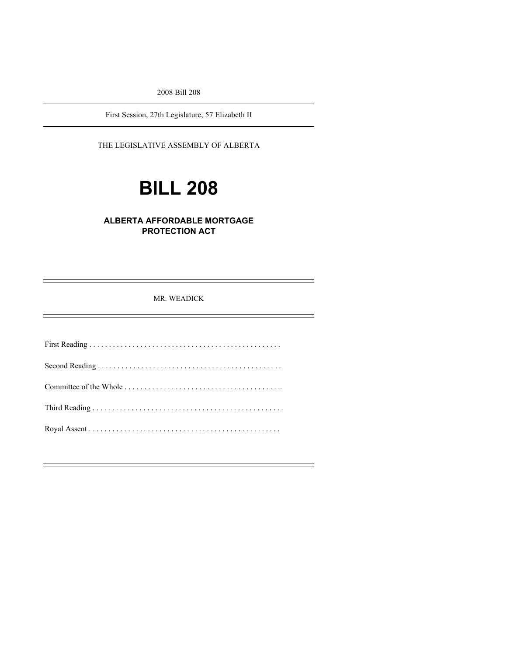2008 Bill 208

First Session, 27th Legislature, 57 Elizabeth II

### THE LEGISLATIVE ASSEMBLY OF ALBERTA

# **BILL 208**

## **ALBERTA AFFORDABLE MORTGAGE PROTECTION ACT**

MR. WEADICK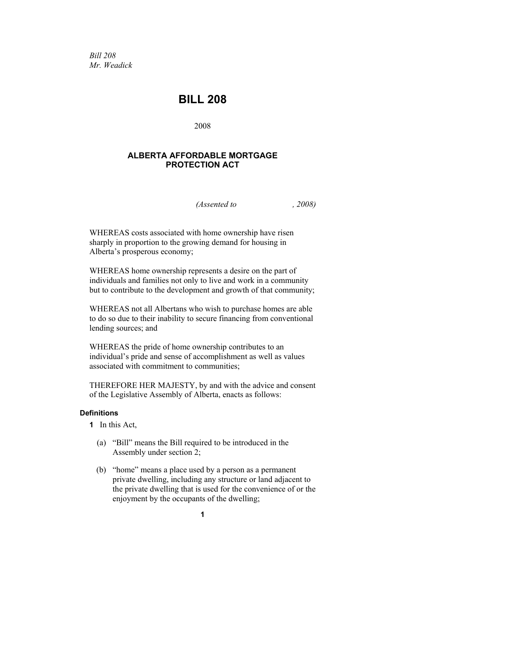*Bill 208 Mr. Weadick* 

## **BILL 208**

2008

#### **ALBERTA AFFORDABLE MORTGAGE PROTECTION ACT**

*(Assented to , 2008)* 

WHEREAS costs associated with home ownership have risen sharply in proportion to the growing demand for housing in Alberta's prosperous economy;

WHEREAS home ownership represents a desire on the part of individuals and families not only to live and work in a community but to contribute to the development and growth of that community;

WHEREAS not all Albertans who wish to purchase homes are able to do so due to their inability to secure financing from conventional lending sources; and

WHEREAS the pride of home ownership contributes to an individual's pride and sense of accomplishment as well as values associated with commitment to communities;

THEREFORE HER MAJESTY, by and with the advice and consent of the Legislative Assembly of Alberta, enacts as follows:

#### **Definitions**

- **1** In this Act,
	- (a) "Bill" means the Bill required to be introduced in the Assembly under section 2;
	- (b) "home" means a place used by a person as a permanent private dwelling, including any structure or land adjacent to the private dwelling that is used for the convenience of or the enjoyment by the occupants of the dwelling;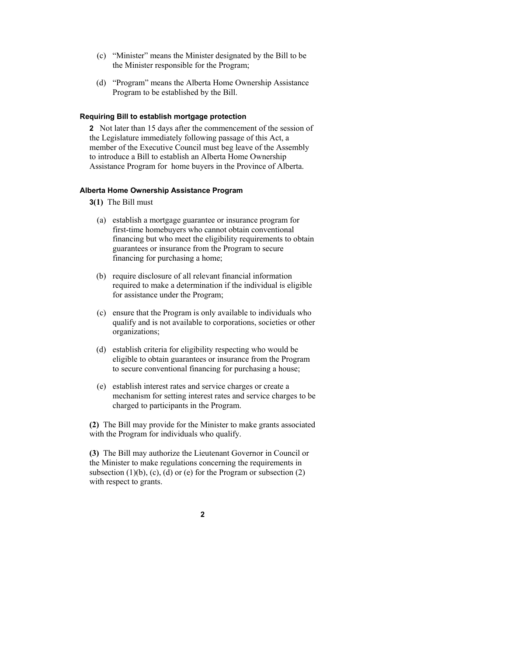- (c) "Minister" means the Minister designated by the Bill to be the Minister responsible for the Program;
- (d) "Program" means the Alberta Home Ownership Assistance Program to be established by the Bill.

#### **Requiring Bill to establish mortgage protection**

**2** Not later than 15 days after the commencement of the session of the Legislature immediately following passage of this Act, a member of the Executive Council must beg leave of the Assembly to introduce a Bill to establish an Alberta Home Ownership Assistance Program for home buyers in the Province of Alberta.

#### **Alberta Home Ownership Assistance Program**

- **3(1)** The Bill must
	- (a) establish a mortgage guarantee or insurance program for first-time homebuyers who cannot obtain conventional financing but who meet the eligibility requirements to obtain guarantees or insurance from the Program to secure financing for purchasing a home;
	- (b) require disclosure of all relevant financial information required to make a determination if the individual is eligible for assistance under the Program;
	- (c) ensure that the Program is only available to individuals who qualify and is not available to corporations, societies or other organizations;
	- (d) establish criteria for eligibility respecting who would be eligible to obtain guarantees or insurance from the Program to secure conventional financing for purchasing a house;
	- (e) establish interest rates and service charges or create a mechanism for setting interest rates and service charges to be charged to participants in the Program.

**(2)** The Bill may provide for the Minister to make grants associated with the Program for individuals who qualify.

**(3)** The Bill may authorize the Lieutenant Governor in Council or the Minister to make regulations concerning the requirements in subsection  $(1)(b)$ ,  $(c)$ ,  $(d)$  or  $(e)$  for the Program or subsection  $(2)$ with respect to grants.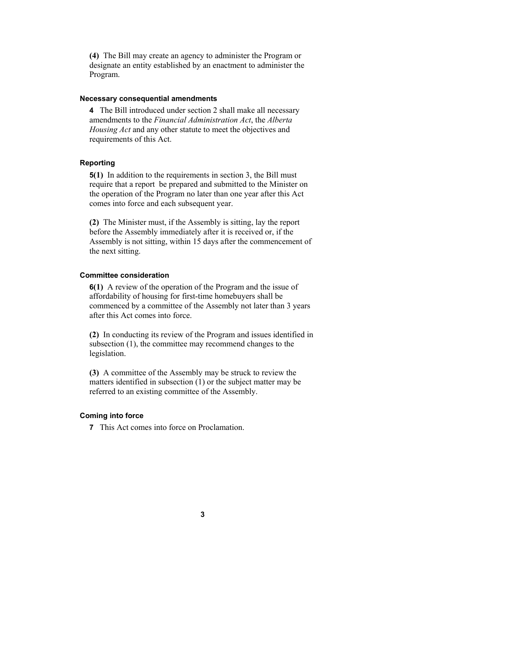**(4)** The Bill may create an agency to administer the Program or designate an entity established by an enactment to administer the Program.

#### **Necessary consequential amendments**

**4** The Bill introduced under section 2 shall make all necessary amendments to the *Financial Administration Act*, the *Alberta Housing Act* and any other statute to meet the objectives and requirements of this Act.

#### **Reporting**

**5(1)** In addition to the requirements in section 3, the Bill must require that a report be prepared and submitted to the Minister on the operation of the Program no later than one year after this Act comes into force and each subsequent year.

**(2)** The Minister must, if the Assembly is sitting, lay the report before the Assembly immediately after it is received or, if the Assembly is not sitting, within 15 days after the commencement of the next sitting.

#### **Committee consideration**

**6(1)** A review of the operation of the Program and the issue of affordability of housing for first-time homebuyers shall be commenced by a committee of the Assembly not later than 3 years after this Act comes into force.

**(2)** In conducting its review of the Program and issues identified in subsection  $(1)$ , the committee may recommend changes to the legislation.

**(3)** A committee of the Assembly may be struck to review the matters identified in subsection (1) or the subject matter may be referred to an existing committee of the Assembly.

#### **Coming into force**

**7** This Act comes into force on Proclamation.